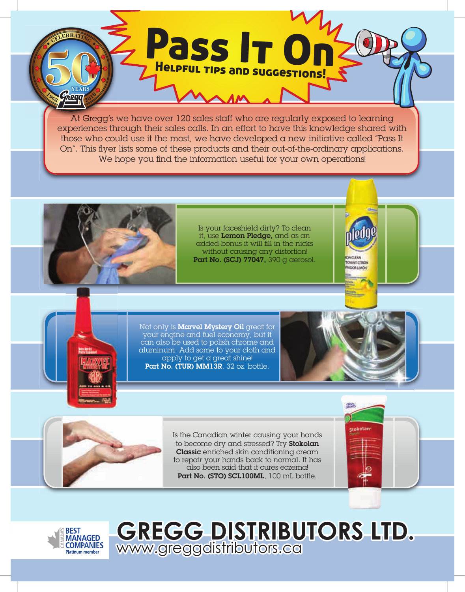At Gregg's we have over 120 sales staff who are regularly exposed to learning Pass It On Helpful tips and suggestions!

experiences through their sales calls. In an effort to have this knowledge shared with those who could use it the most, we have developed a new initiative called "Pass It On". This flyer lists some of these products and their out-of-the-ordinary applications. We hope you find the information useful for your own operations!



Is your faceshield dirty? To clean it, use Lemon Pledge, and as an added bonus it will fill in the nicks without causing any distortion! Part No. (SCJ) 77047, 390 g aerosol.

Not only is Marvel Mystery Oil great for your engine and fuel economy, but it can also be used to polish chrome and aluminum. Add some to your cloth and apply to get a great shine! Part No. (TUR) MM13R, 32 oz. bottle.

www.greggdistributors.ca



**MEPTRAN TOWAY! CITION ADORE ANON** 



Is the Canadian winter causing your hands to become dry and stressed? Try Stokolan Classic enriched skin conditioning cream to repair your hands back to normal. It has also been said that it cures eczema! Part No. (STO) SCL100ML, 100 mL bottle.

**GREGG DISTRIBUTORS LTD.**